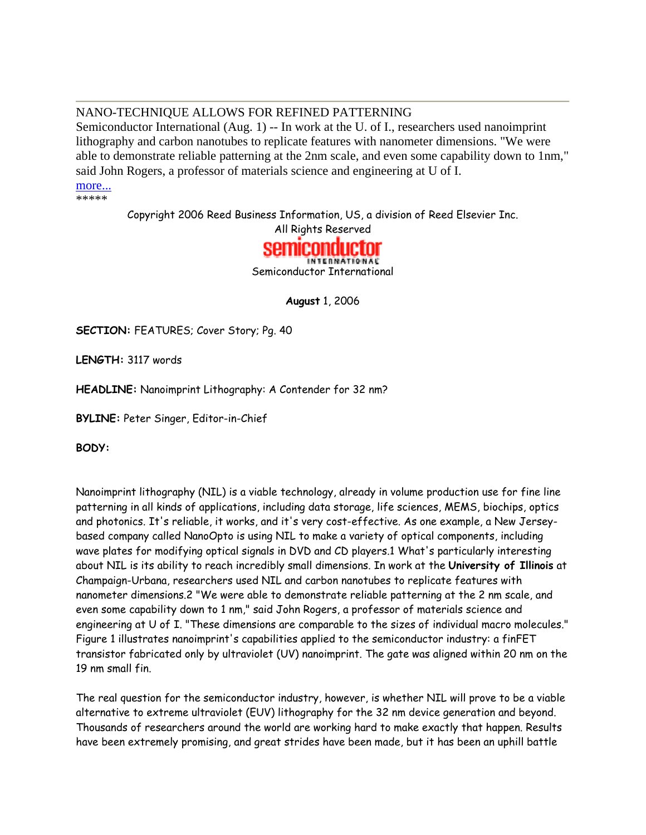# NANO-TECHNIQUE ALLOWS FOR REFINED PATTERNING

Semiconductor International (Aug. 1) -- In work at the U. of I., researchers used nanoimprint lithography and carbon nanotubes to replicate features with nanometer dimensions. "We were able to demonstrate reliable patterning at the 2nm scale, and even some capability down to 1nm," said John Rogers, a professor of materials science and engineering at U of I.

more... \*\*\*\*\*

Copyright 2006 Reed Business Information, US, a division of Reed Elsevier Inc.

All Rights Reserved



NTERNATIONAL Semiconductor International

**August** 1, 2006

**SECTION:** FEATURES; Cover Story; Pg. 40

**LENGTH:** 3117 words

**HEADLINE:** Nanoimprint Lithography: A Contender for 32 nm?

**BYLINE:** Peter Singer, Editor-in-Chief

**BODY:**

Nanoimprint lithography (NIL) is a viable technology, already in volume production use for fine line patterning in all kinds of applications, including data storage, life sciences, MEMS, biochips, optics and photonics. It's reliable, it works, and it's very cost-effective. As one example, a New Jerseybased company called NanoOpto is using NIL to make a variety of optical components, including wave plates for modifying optical signals in DVD and CD players.1 What's particularly interesting about NIL is its ability to reach incredibly small dimensions. In work at the **University of Illinois** at Champaign-Urbana, researchers used NIL and carbon nanotubes to replicate features with nanometer dimensions.2 "We were able to demonstrate reliable patterning at the 2 nm scale, and even some capability down to 1 nm," said John Rogers, a professor of materials science and engineering at U of I. "These dimensions are comparable to the sizes of individual macro molecules." Figure 1 illustrates nanoimprint's capabilities applied to the semiconductor industry: a finFET transistor fabricated only by ultraviolet (UV) nanoimprint. The gate was aligned within 20 nm on the 19 nm small fin.

The real question for the semiconductor industry, however, is whether NIL will prove to be a viable alternative to extreme ultraviolet (EUV) lithography for the 32 nm device generation and beyond. Thousands of researchers around the world are working hard to make exactly that happen. Results have been extremely promising, and great strides have been made, but it has been an uphill battle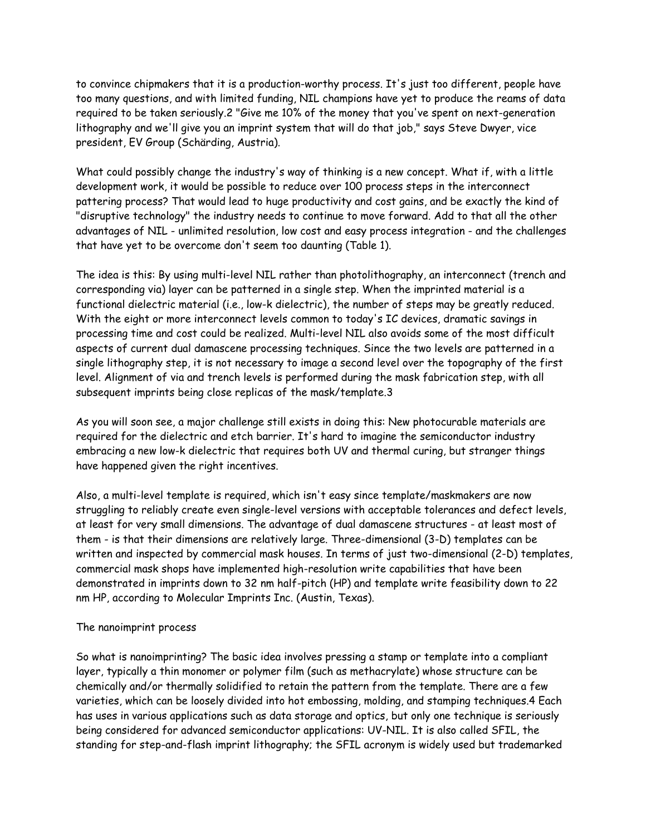to convince chipmakers that it is a production-worthy process. It's just too different, people have too many questions, and with limited funding, NIL champions have yet to produce the reams of data required to be taken seriously.2 "Give me 10% of the money that you've spent on next-generation lithography and we'll give you an imprint system that will do that job," says Steve Dwyer, vice president, EV Group (Schärding, Austria).

What could possibly change the industry's way of thinking is a new concept. What if, with a little development work, it would be possible to reduce over 100 process steps in the interconnect pattering process? That would lead to huge productivity and cost gains, and be exactly the kind of "disruptive technology" the industry needs to continue to move forward. Add to that all the other advantages of NIL - unlimited resolution, low cost and easy process integration - and the challenges that have yet to be overcome don't seem too daunting (Table 1).

The idea is this: By using multi-level NIL rather than photolithography, an interconnect (trench and corresponding via) layer can be patterned in a single step. When the imprinted material is a functional dielectric material (i.e., low-k dielectric), the number of steps may be greatly reduced. With the eight or more interconnect levels common to today's IC devices, dramatic savings in processing time and cost could be realized. Multi-level NIL also avoids some of the most difficult aspects of current dual damascene processing techniques. Since the two levels are patterned in a single lithography step, it is not necessary to image a second level over the topography of the first level. Alignment of via and trench levels is performed during the mask fabrication step, with all subsequent imprints being close replicas of the mask/template.3

As you will soon see, a major challenge still exists in doing this: New photocurable materials are required for the dielectric and etch barrier. It's hard to imagine the semiconductor industry embracing a new low-k dielectric that requires both UV and thermal curing, but stranger things have happened given the right incentives.

Also, a multi-level template is required, which isn't easy since template/maskmakers are now struggling to reliably create even single-level versions with acceptable tolerances and defect levels, at least for very small dimensions. The advantage of dual damascene structures - at least most of them - is that their dimensions are relatively large. Three-dimensional (3-D) templates can be written and inspected by commercial mask houses. In terms of just two-dimensional (2-D) templates, commercial mask shops have implemented high-resolution write capabilities that have been demonstrated in imprints down to 32 nm half-pitch (HP) and template write feasibility down to 22 nm HP, according to Molecular Imprints Inc. (Austin, Texas).

#### The nanoimprint process

So what is nanoimprinting? The basic idea involves pressing a stamp or template into a compliant layer, typically a thin monomer or polymer film (such as methacrylate) whose structure can be chemically and/or thermally solidified to retain the pattern from the template. There are a few varieties, which can be loosely divided into hot embossing, molding, and stamping techniques.4 Each has uses in various applications such as data storage and optics, but only one technique is seriously being considered for advanced semiconductor applications: UV-NIL. It is also called SFIL, the standing for step-and-flash imprint lithography; the SFIL acronym is widely used but trademarked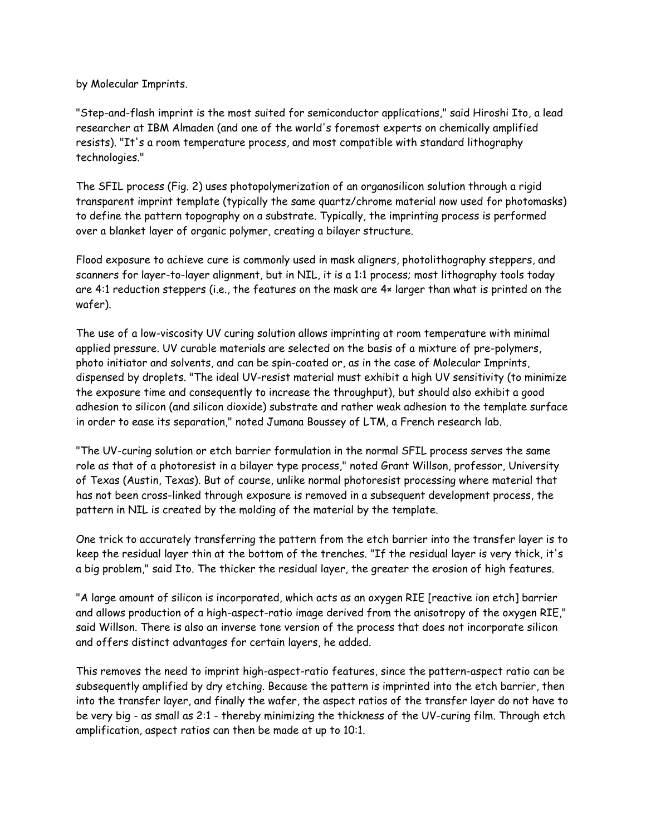by Molecular Imprints.

"Step-and-flash imprint is the most suited for semiconductor applications," said Hiroshi Ito, a lead researcher at IBM Almaden (and one of the world's foremost experts on chemically amplified resists). "It's a room temperature process, and most compatible with standard lithography technologies."

The SFIL process (Fig. 2) uses photopolymerization of an organosilicon solution through a rigid transparent imprint template (typically the same quartz/chrome material now used for photomasks) to define the pattern topography on a substrate. Typically, the imprinting process is performed over a blanket layer of organic polymer, creating a bilayer structure.

Flood exposure to achieve cure is commonly used in mask aligners, photolithography steppers, and scanners for layer-to-layer alignment, but in NIL, it is a 1:1 process; most lithography tools today are 4:1 reduction steppers (i.e., the features on the mask are 4× larger than what is printed on the wafer).

The use of a low-viscosity UV curing solution allows imprinting at room temperature with minimal applied pressure. UV curable materials are selected on the basis of a mixture of pre-polymers, photo initiator and solvents, and can be spin-coated or, as in the case of Molecular Imprints, dispensed by droplets. "The ideal UV-resist material must exhibit a high UV sensitivity (to minimize the exposure time and consequently to increase the throughput), but should also exhibit a good adhesion to silicon (and silicon dioxide) substrate and rather weak adhesion to the template surface in order to ease its separation," noted Jumana Boussey of LTM, a French research lab.

"The UV-curing solution or etch barrier formulation in the normal SFIL process serves the same role as that of a photoresist in a bilayer type process," noted Grant Willson, professor, University of Texas (Austin, Texas). But of course, unlike normal photoresist processing where material that has not been cross-linked through exposure is removed in a subsequent development process, the pattern in NIL is created by the molding of the material by the template.

One trick to accurately transferring the pattern from the etch barrier into the transfer layer is to keep the residual layer thin at the bottom of the trenches. "If the residual layer is very thick, it's a big problem," said Ito. The thicker the residual layer, the greater the erosion of high features.

"A large amount of silicon is incorporated, which acts as an oxygen RIE [reactive ion etch] barrier and allows production of a high-aspect-ratio image derived from the anisotropy of the oxygen RIE," said Willson. There is also an inverse tone version of the process that does not incorporate silicon and offers distinct advantages for certain layers, he added.

This removes the need to imprint high-aspect-ratio features, since the pattern-aspect ratio can be subsequently amplified by dry etching. Because the pattern is imprinted into the etch barrier, then into the transfer layer, and finally the wafer, the aspect ratios of the transfer layer do not have to be very big - as small as 2:1 - thereby minimizing the thickness of the UV-curing film. Through etch amplification, aspect ratios can then be made at up to 10:1.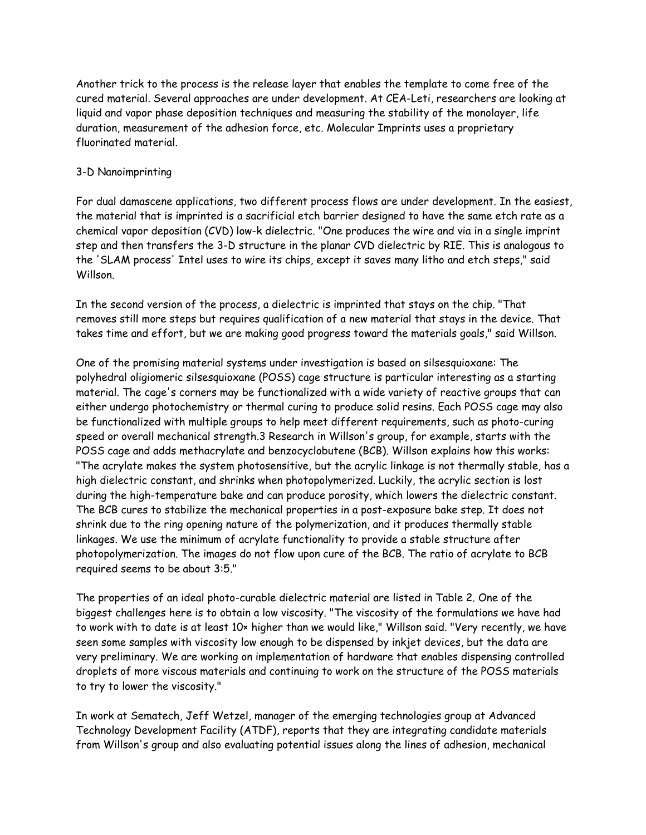Another trick to the process is the release layer that enables the template to come free of the cured material. Several approaches are under development. At CEA-Leti, researchers are looking at liquid and vapor phase deposition techniques and measuring the stability of the monolayer, life duration, measurement of the adhesion force, etc. Molecular Imprints uses a proprietary fluorinated material.

### 3-D Nanoimprinting

For dual damascene applications, two different process flows are under development. In the easiest, the material that is imprinted is a sacrificial etch barrier designed to have the same etch rate as a chemical vapor deposition (CVD) low-k dielectric. "One produces the wire and via in a single imprint step and then transfers the 3-D structure in the planar CVD dielectric by RIE. This is analogous to the 'SLAM process' Intel uses to wire its chips, except it saves many litho and etch steps," said Willson.

In the second version of the process, a dielectric is imprinted that stays on the chip. "That removes still more steps but requires qualification of a new material that stays in the device. That takes time and effort, but we are making good progress toward the materials goals," said Willson.

One of the promising material systems under investigation is based on silsesquioxane: The polyhedral oligiomeric silsesquioxane (POSS) cage structure is particular interesting as a starting material. The cage's corners may be functionalized with a wide variety of reactive groups that can either undergo photochemistry or thermal curing to produce solid resins. Each POSS cage may also be functionalized with multiple groups to help meet different requirements, such as photo-curing speed or overall mechanical strength.3 Research in Willson's group, for example, starts with the POSS cage and adds methacrylate and benzocyclobutene (BCB). Willson explains how this works: "The acrylate makes the system photosensitive, but the acrylic linkage is not thermally stable, has a high dielectric constant, and shrinks when photopolymerized. Luckily, the acrylic section is lost during the high-temperature bake and can produce porosity, which lowers the dielectric constant. The BCB cures to stabilize the mechanical properties in a post-exposure bake step. It does not shrink due to the ring opening nature of the polymerization, and it produces thermally stable linkages. We use the minimum of acrylate functionality to provide a stable structure after photopolymerization. The images do not flow upon cure of the BCB. The ratio of acrylate to BCB required seems to be about 3:5."

The properties of an ideal photo-curable dielectric material are listed in Table 2. One of the biggest challenges here is to obtain a low viscosity. "The viscosity of the formulations we have had to work with to date is at least 10× higher than we would like," Willson said. "Very recently, we have seen some samples with viscosity low enough to be dispensed by inkjet devices, but the data are very preliminary. We are working on implementation of hardware that enables dispensing controlled droplets of more viscous materials and continuing to work on the structure of the POSS materials to try to lower the viscosity."

In work at Sematech, Jeff Wetzel, manager of the emerging technologies group at Advanced Technology Development Facility (ATDF), reports that they are integrating candidate materials from Willson's group and also evaluating potential issues along the lines of adhesion, mechanical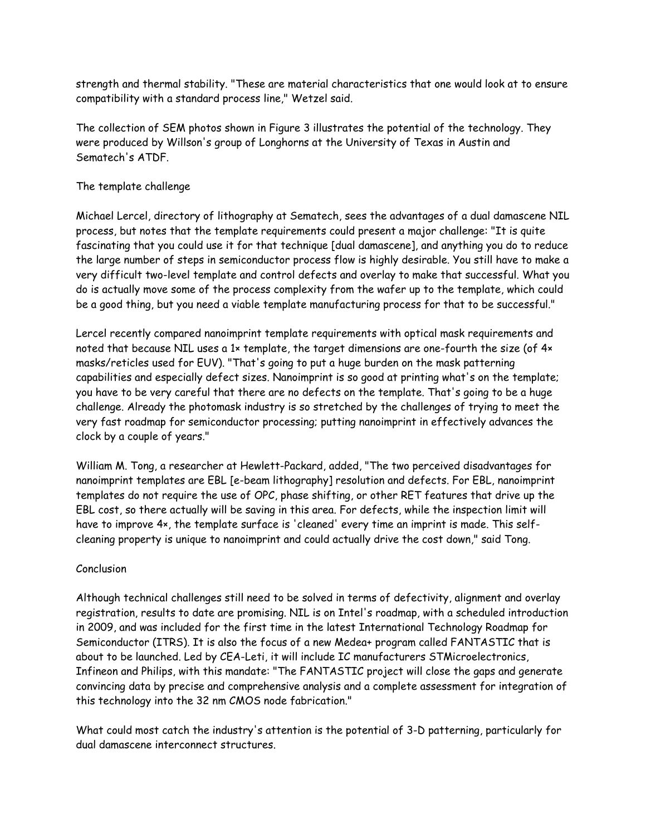strength and thermal stability. "These are material characteristics that one would look at to ensure compatibility with a standard process line," Wetzel said.

The collection of SEM photos shown in Figure 3 illustrates the potential of the technology. They were produced by Willson's group of Longhorns at the University of Texas in Austin and Sematech's ATDF.

# The template challenge

Michael Lercel, directory of lithography at Sematech, sees the advantages of a dual damascene NIL process, but notes that the template requirements could present a major challenge: "It is quite fascinating that you could use it for that technique [dual damascene], and anything you do to reduce the large number of steps in semiconductor process flow is highly desirable. You still have to make a very difficult two-level template and control defects and overlay to make that successful. What you do is actually move some of the process complexity from the wafer up to the template, which could be a good thing, but you need a viable template manufacturing process for that to be successful."

Lercel recently compared nanoimprint template requirements with optical mask requirements and noted that because NIL uses a 1x template, the target dimensions are one-fourth the size (of 4x masks/reticles used for EUV). "That's going to put a huge burden on the mask patterning capabilities and especially defect sizes. Nanoimprint is so good at printing what's on the template; you have to be very careful that there are no defects on the template. That's going to be a huge challenge. Already the photomask industry is so stretched by the challenges of trying to meet the very fast roadmap for semiconductor processing; putting nanoimprint in effectively advances the clock by a couple of years."

William M. Tong, a researcher at Hewlett-Packard, added, "The two perceived disadvantages for nanoimprint templates are EBL [e-beam lithography] resolution and defects. For EBL, nanoimprint templates do not require the use of OPC, phase shifting, or other RET features that drive up the EBL cost, so there actually will be saving in this area. For defects, while the inspection limit will have to improve 4×, the template surface is 'cleaned' every time an imprint is made. This selfcleaning property is unique to nanoimprint and could actually drive the cost down," said Tong.

## Conclusion

Although technical challenges still need to be solved in terms of defectivity, alignment and overlay registration, results to date are promising. NIL is on Intel's roadmap, with a scheduled introduction in 2009, and was included for the first time in the latest International Technology Roadmap for Semiconductor (ITRS). It is also the focus of a new Medea+ program called FANTASTIC that is about to be launched. Led by CEA-Leti, it will include IC manufacturers STMicroelectronics, Infineon and Philips, with this mandate: "The FANTASTIC project will close the gaps and generate convincing data by precise and comprehensive analysis and a complete assessment for integration of this technology into the 32 nm CMOS node fabrication."

What could most catch the industry's attention is the potential of 3-D patterning, particularly for dual damascene interconnect structures.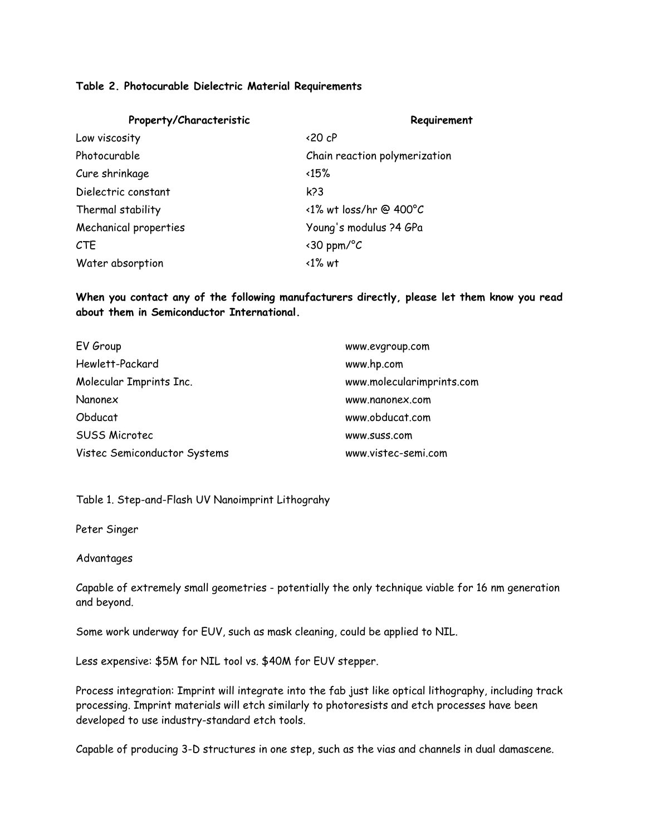### **Table 2. Photocurable Dielectric Material Requirements**

| Property/Characteristic | Requirement                      |
|-------------------------|----------------------------------|
| Low viscosity           | $\langle 20 \text{ } cP \rangle$ |
| Photocurable            | Chain reaction polymerization    |
| Cure shrinkage          | $\langle 15\%$                   |
| Dielectric constant     | k <sub>23</sub>                  |
| Thermal stability       | $\langle$ 1% wt loss/hr @ 400°C  |
| Mechanical properties   | Young's modulus ?4 GPa           |
| <b>CTE</b>              | $\langle$ 30 ppm/°C              |
| Water absorption        | $\langle$ 1% wt                  |

**When you contact any of the following manufacturers directly, please let them know you read about them in Semiconductor International.**

| EV Group                     | www.evgroup.com           |
|------------------------------|---------------------------|
| Hewlett-Packard              | www.hp.com                |
| Molecular Imprints Inc.      | www.molecularimprints.com |
| Nanonex                      | www.nanonex.com           |
| Obducat                      | www.obducat.com           |
| <b>SUSS Microtec</b>         | www.suss.com              |
| Vistec Semiconductor Systems | www.vistec-semi.com       |

Table 1. Step-and-Flash UV Nanoimprint Lithograhy

Peter Singer

Advantages

Capable of extremely small geometries - potentially the only technique viable for 16 nm generation and beyond.

Some work underway for EUV, such as mask cleaning, could be applied to NIL.

Less expensive: \$5M for NIL tool vs. \$40M for EUV stepper.

Process integration: Imprint will integrate into the fab just like optical lithography, including track processing. Imprint materials will etch similarly to photoresists and etch processes have been developed to use industry-standard etch tools.

Capable of producing 3-D structures in one step, such as the vias and channels in dual damascene.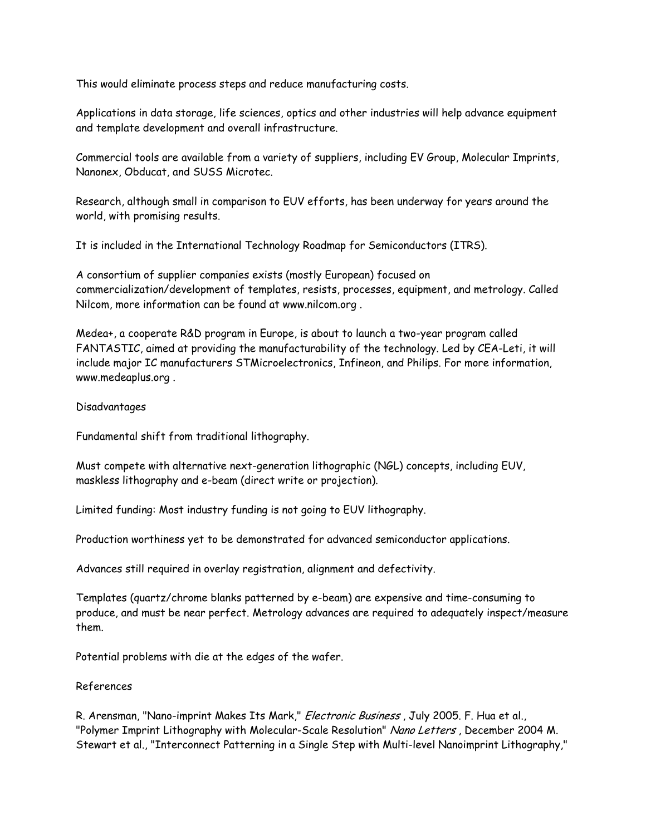This would eliminate process steps and reduce manufacturing costs.

Applications in data storage, life sciences, optics and other industries will help advance equipment and template development and overall infrastructure.

Commercial tools are available from a variety of suppliers, including EV Group, Molecular Imprints, Nanonex, Obducat, and SUSS Microtec.

Research, although small in comparison to EUV efforts, has been underway for years around the world, with promising results.

It is included in the International Technology Roadmap for Semiconductors (ITRS).

A consortium of supplier companies exists (mostly European) focused on commercialization/development of templates, resists, processes, equipment, and metrology. Called Nilcom, more information can be found at www.nilcom.org .

Medea+, a cooperate R&D program in Europe, is about to launch a two-year program called FANTASTIC, aimed at providing the manufacturability of the technology. Led by CEA-Leti, it will include major IC manufacturers STMicroelectronics, Infineon, and Philips. For more information, www.medeaplus.org .

### Disadvantages

Fundamental shift from traditional lithography.

Must compete with alternative next-generation lithographic (NGL) concepts, including EUV, maskless lithography and e-beam (direct write or projection).

Limited funding: Most industry funding is not going to EUV lithography.

Production worthiness yet to be demonstrated for advanced semiconductor applications.

Advances still required in overlay registration, alignment and defectivity.

Templates (quartz/chrome blanks patterned by e-beam) are expensive and time-consuming to produce, and must be near perfect. Metrology advances are required to adequately inspect/measure them.

Potential problems with die at the edges of the wafer.

#### References

R. Arensman, "Nano-imprint Makes Its Mark," *Electronic Business*, July 2005. F. Hua et al., "Polymer Imprint Lithography with Molecular-Scale Resolution" Nano Letters, December 2004 M. Stewart et al., "Interconnect Patterning in a Single Step with Multi-level Nanoimprint Lithography,"